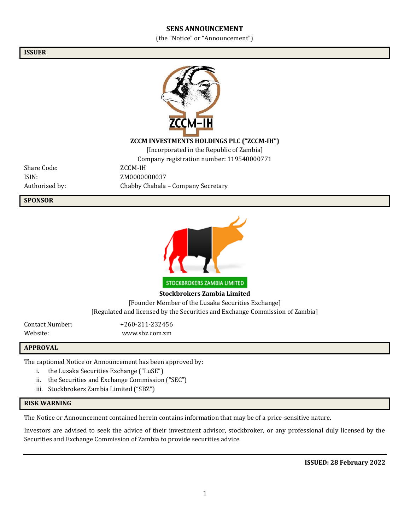#### **SENS ANNOUNCEMENT**

(the "Notice" or "Announcement")

**ISSUER**



### **ZCCM INVESTMENTS HOLDINGS PLC ("ZCCM-IH")**

[Incorporated in the Republic of Zambia]

Company registration number: 119540000771

Share Code: ZCCM-IH

ISIN: ZM0000000037 Authorised by: Chabby Chabala – Company Secretary

**SPONSOR**



**Stockbrokers Zambia Limited** [Founder Member of the Lusaka Securities Exchange] [Regulated and licensed by the Securities and Exchange Commission of Zambia]

Contact Number: +260-211-232456 Website: www.sbz.com.zm

#### **APPROVAL**

The captioned Notice or Announcement has been approved by:

- i. the Lusaka Securities Exchange ("LuSE")
- ii. the Securities and Exchange Commission ("SEC")
- iii. Stockbrokers Zambia Limited ("SBZ")

### **RISK WARNING**

The Notice or Announcement contained herein contains information that may be of a price-sensitive nature.

Investors are advised to seek the advice of their investment advisor, stockbroker, or any professional duly licensed by the Securities and Exchange Commission of Zambia to provide securities advice.

**ISSUED: 28 February 2022**